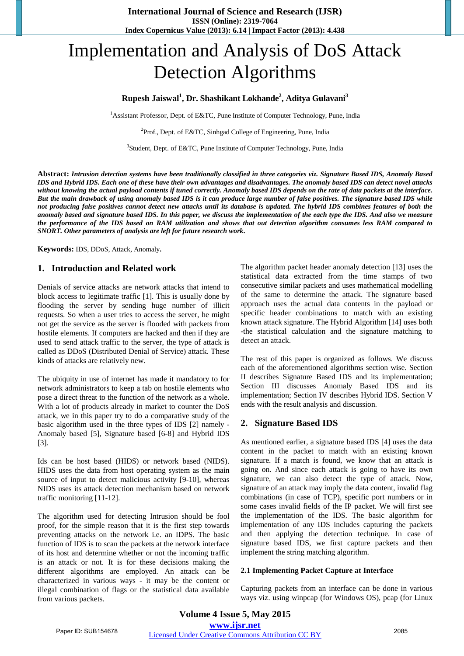# Implementation and Analysis of DoS Attack Detection Algorithms

## **Rupesh Jaiswal<sup>1</sup> , Dr. Shashikant Lokhande<sup>2</sup> , Aditya Gulavani<sup>3</sup>**

<sup>1</sup>Assistant Professor, Dept. of E&TC, Pune Institute of Computer Technology, Pune, India

<sup>2</sup>Prof., Dept. of E&TC, Sinhgad College of Engineering, Pune, India

<sup>3</sup>Student, Dept. of E&TC, Pune Institute of Computer Technology, Pune, India

Abstract: Intrusion detection systems have been traditionally classified in three categories viz. Signature Based IDS, Anomaly Based IDS and Hybrid IDS. Each one of these have their own advantages and disadvantages. The anomaly based IDS can detect novel attacks without knowing the actual payload contents if tuned correctly. Anomaly based IDS depends on the rate of data packets at the interface. But the main drawback of using anomaly based IDS is it can produce large number of false positives. The signature based IDS while not producing false positives cannot detect new attacks until its database is updated. The hybrid IDS combines features of both the anomaly based and signature based IDS. In this paper, we discuss the implementation of the each type the IDS. And also we measure the performance of the IDS based on RAM utilization and shows that out detection algorithm consumes less RAM compared to *SNORT. Other parameters of analysis are left for future research work***.**

**Keywords:** IDS, DDoS, Attack, Anomaly**.** 

#### **1. Introduction and Related work**

Denials of service attacks are network attacks that intend to block access to legitimate traffic [1]. This is usually done by flooding the server by sending huge number of illicit requests. So when a user tries to access the server, he might not get the service as the server is flooded with packets from hostile elements. If computers are hacked and then if they are used to send attack traffic to the server, the type of attack is called as DDoS (Distributed Denial of Service) attack. These kinds of attacks are relatively new.

The ubiquity in use of internet has made it mandatory to for network administrators to keep a tab on hostile elements who pose a direct threat to the function of the network as a whole. With a lot of products already in market to counter the DoS attack, we in this paper try to do a comparative study of the basic algorithm used in the three types of IDS [2] namely - Anomaly based [5], Signature based [6-8] and Hybrid IDS [3].

Ids can be host based (HIDS) or network based (NIDS). HIDS uses the data from host operating system as the main source of input to detect malicious activity [9-10], whereas NIDS uses its attack detection mechanism based on network traffic monitoring [11-12].

The algorithm used for detecting Intrusion should be fool proof, for the simple reason that it is the first step towards preventing attacks on the network i.e. an IDPS. The basic function of IDS is to scan the packets at the network interface of its host and determine whether or not the incoming traffic is an attack or not. It is for these decisions making the different algorithms are employed. An attack can be characterized in various ways - it may be the content or illegal combination of flags or the statistical data available from various packets.

The algorithm packet header anomaly detection [13] uses the statistical data extracted from the time stamps of two consecutive similar packets and uses mathematical modelling of the same to determine the attack. The signature based approach uses the actual data contents in the payload or specific header combinations to match with an existing known attack signature. The Hybrid Algorithm [14] uses both -the statistical calculation and the signature matching to detect an attack.

The rest of this paper is organized as follows. We discuss each of the aforementioned algorithms section wise. Section II describes Signature Based IDS and its implementation; Section III discusses Anomaly Based IDS and its implementation; Section IV describes Hybrid IDS. Section V ends with the result analysis and discussion.

## **2. Signature Based IDS**

As mentioned earlier, a signature based IDS [4] uses the data content in the packet to match with an existing known signature. If a match is found, we know that an attack is going on. And since each attack is going to have its own signature, we can also detect the type of attack. Now, signature of an attack may imply the data content, invalid flag combinations (in case of TCP), specific port numbers or in some cases invalid fields of the IP packet. We will first see the implementation of the IDS. The basic algorithm for implementation of any IDS includes capturing the packets and then applying the detection technique. In case of signature based IDS, we first capture packets and then implement the string matching algorithm.

#### **2.1 Implementing Packet Capture at Interface**

Capturing packets from an interface can be done in various ways viz. using winpcap (for Windows OS), pcap (for Linux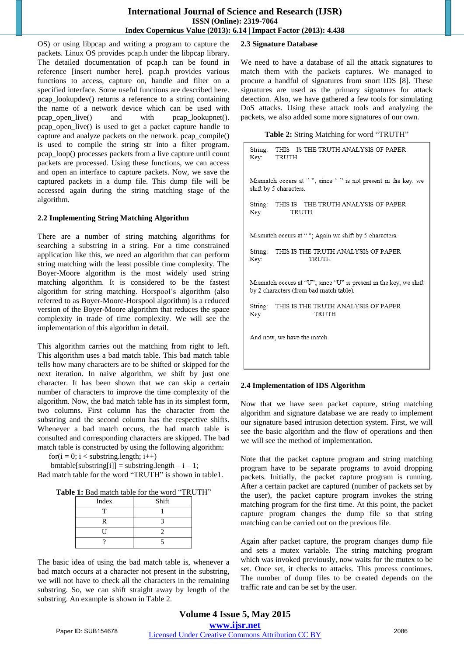OS) or using libpcap and writing a program to capture the packets. Linux OS provides pcap.h under the libpcap library. The detailed documentation of pcap.h can be found in reference [insert number here]. pcap.h provides various functions to access, capture on, handle and filter on a specified interface. Some useful functions are described here. pcap\_lookupdev() returns a reference to a string containing the name of a network device which can be used with  $pcap$  open live() and with pcap lookupnet(). pcap\_open\_live() is used to get a packet capture handle to capture and analyze packets on the network. pcap\_compile() is used to compile the string str into a filter program. pcap\_loop() processes packets from a live capture until count packets are processed. Using these functions, we can access and open an interface to capture packets. Now, we save the captured packets in a dump file. This dump file will be accessed again during the string matching stage of the algorithm.

#### **2.2 Implementing String Matching Algorithm**

There are a number of string matching algorithms for searching a substring in a string. For a time constrained application like this, we need an algorithm that can perform string matching with the least possible time complexity. The Boyer-Moore algorithm is the most widely used string matching algorithm. It is considered to be the fastest algorithm for string matching. Horspool's algorithm (also referred to as Boyer-Moore-Horspool algorithm) is a reduced version of the Boyer-Moore algorithm that reduces the space complexity in trade of time complexity. We will see the implementation of this algorithm in detail.

This algorithm carries out the matching from right to left. This algorithm uses a bad match table. This bad match table tells how many characters are to be shifted or skipped for the next iteration. In naive algorithm, we shift by just one character. It has been shown that we can skip a certain number of characters to improve the time complexity of the algorithm. Now, the bad match table has in its simplest form, two columns. First column has the character from the substring and the second column has the respective shifts. Whenever a bad match occurs, the bad match table is consulted and corresponding characters are skipped. The bad match table is constructed by using the following algorithm:

for( $i = 0$ ;  $i <$  substring.length;  $i++$ )

bmtable[substring[i]] = substring.length  $- i - 1$ ; Bad match table for the word "TRUTH" is shown in table1.

**Table 1:** Bad match table for the word "TRUTH"

| Index | Shift |
|-------|-------|
|       |       |
|       |       |
|       |       |
|       |       |

The basic idea of using the bad match table is, whenever a bad match occurs at a character not present in the substring, we will not have to check all the characters in the remaining substring. So, we can shift straight away by length of the substring. An example is shown in Table 2.

#### **2.3 Signature Database**

We need to have a database of all the attack signatures to match them with the packets captures. We managed to procure a handful of signatures from snort IDS [8]. These signatures are used as the primary signatures for attack detection. Also, we have gathered a few tools for simulating DoS attacks. Using these attack tools and analyzing the packets, we also added some more signatures of our own.

|  |  |  | Table 2: String Matching for word "TRUTH" |
|--|--|--|-------------------------------------------|
|  |  |  |                                           |

| Key: TRUTH                                                                                                   | String: THIS IS THE TRUTH ANALYSIS OF PAPER            |  |  |  |  |
|--------------------------------------------------------------------------------------------------------------|--------------------------------------------------------|--|--|--|--|
| Mismatch occurs at ""; since "" is not present in the key, we<br>shift by 5 characters.                      |                                                        |  |  |  |  |
| Key:                                                                                                         | String: THIS IS THE TRUTH ANALYSIS OF PAPER<br>TRUTH   |  |  |  |  |
|                                                                                                              | Mismatch occurs at ""; Again we shift by 5 characters. |  |  |  |  |
| Key:                                                                                                         | String: THIS IS THE TRUTH ANALYSIS OF PAPER<br>TRUTH   |  |  |  |  |
| Mismatch occurs at "U"; since "U" is present in the key, we shift<br>by 2 characters (from bad match table). |                                                        |  |  |  |  |
| Key:                                                                                                         | String: THIS IS THE TRUTH ANALYSIS OF PAPER<br>TRUTH   |  |  |  |  |
| And now, we have the match.                                                                                  |                                                        |  |  |  |  |

#### **2.4 Implementation of IDS Algorithm**

Now that we have seen packet capture, string matching algorithm and signature database we are ready to implement our signature based intrusion detection system. First, we will see the basic algorithm and the flow of operations and then we will see the method of implementation.

Note that the packet capture program and string matching program have to be separate programs to avoid dropping packets. Initially, the packet capture program is running. After a certain packet are captured (number of packets set by the user), the packet capture program invokes the string matching program for the first time. At this point, the packet capture program changes the dump file so that string matching can be carried out on the previous file.

Again after packet capture, the program changes dump file and sets a mutex variable. The string matching program which was invoked previously, now waits for the mutex to be set. Once set, it checks to attacks. This process continues. The number of dump files to be created depends on the traffic rate and can be set by the user.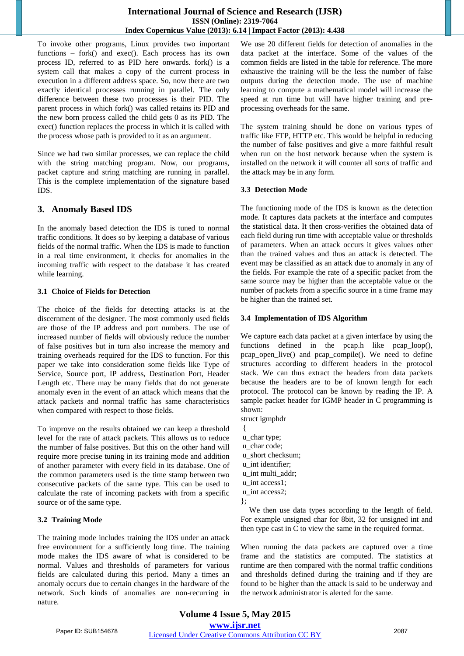To invoke other programs, Linux provides two important functions – fork() and exec(). Each process has its own process ID, referred to as PID here onwards. fork() is a system call that makes a copy of the current process in execution in a different address space. So, now there are two exactly identical processes running in parallel. The only difference between these two processes is their PID. The parent process in which fork() was called retains its PID and the new born process called the child gets 0 as its PID. The exec() function replaces the process in which it is called with the process whose path is provided to it as an argument.

Since we had two similar processes, we can replace the child with the string matching program. Now, our programs, packet capture and string matching are running in parallel. This is the complete implementation of the signature based IDS.

## **3. Anomaly Based IDS**

In the anomaly based detection the IDS is tuned to normal traffic conditions. It does so by keeping a database of various fields of the normal traffic. When the IDS is made to function in a real time environment, it checks for anomalies in the incoming traffic with respect to the database it has created while learning.

#### **3.1 Choice of Fields for Detection**

The choice of the fields for detecting attacks is at the discernment of the designer. The most commonly used fields are those of the IP address and port numbers. The use of increased number of fields will obviously reduce the number of false positives but in turn also increase the memory and training overheads required for the IDS to function. For this paper we take into consideration some fields like Type of Service, Source port, IP address, Destination Port, Header Length etc. There may be many fields that do not generate anomaly even in the event of an attack which means that the attack packets and normal traffic has same characteristics when compared with respect to those fields.

To improve on the results obtained we can keep a threshold level for the rate of attack packets. This allows us to reduce the number of false positives. But this on the other hand will require more precise tuning in its training mode and addition of another parameter with every field in its database. One of the common parameters used is the time stamp between two consecutive packets of the same type. This can be used to calculate the rate of incoming packets with from a specific source or of the same type.

## **3.2 Training Mode**

The training mode includes training the IDS under an attack free environment for a sufficiently long time. The training mode makes the IDS aware of what is considered to be normal. Values and thresholds of parameters for various fields are calculated during this period. Many a times an anomaly occurs due to certain changes in the hardware of the network. Such kinds of anomalies are non-recurring in nature.

We use 20 different fields for detection of anomalies in the data packet at the interface. Some of the values of the common fields are listed in the table for reference. The more exhaustive the training will be the less the number of false outputs during the detection mode. The use of machine learning to compute a mathematical model will increase the speed at run time but will have higher training and preprocessing overheads for the same.

The system training should be done on various types of traffic like FTP, HTTP etc. This would be helpful in reducing the number of false positives and give a more faithful result when run on the host network because when the system is installed on the network it will counter all sorts of traffic and the attack may be in any form.

#### **3.3 Detection Mode**

The functioning mode of the IDS is known as the detection mode. It captures data packets at the interface and computes the statistical data. It then cross-verifies the obtained data of each field during run time with acceptable value or thresholds of parameters. When an attack occurs it gives values other than the trained values and thus an attack is detected. The event may be classified as an attack due to anomaly in any of the fields. For example the rate of a specific packet from the same source may be higher than the acceptable value or the number of packets from a specific source in a time frame may be higher than the trained set.

## **3.4 Implementation of IDS Algorithm**

We capture each data packet at a given interface by using the functions defined in the pcap.h like pcap\_loop(), pcap\_open\_live() and pcap\_compile(). We need to define structures according to different headers in the protocol stack. We can thus extract the headers from data packets because the headers are to be of known length for each protocol. The protocol can be known by reading the IP. A sample packet header for IGMP header in C programming is shown:

struct igmphdr

{ u\_char type; u\_char code; u\_short checksum; u\_int identifier; u\_int multi\_addr; u\_int access1; u\_int access2; };

We then use data types according to the length of field. For example unsigned char for 8bit, 32 for unsigned int and then type cast in C to view the same in the required format.

When running the data packets are captured over a time frame and the statistics are computed. The statistics at runtime are then compared with the normal traffic conditions and thresholds defined during the training and if they are found to be higher than the attack is said to be underway and the network administrator is alerted for the same.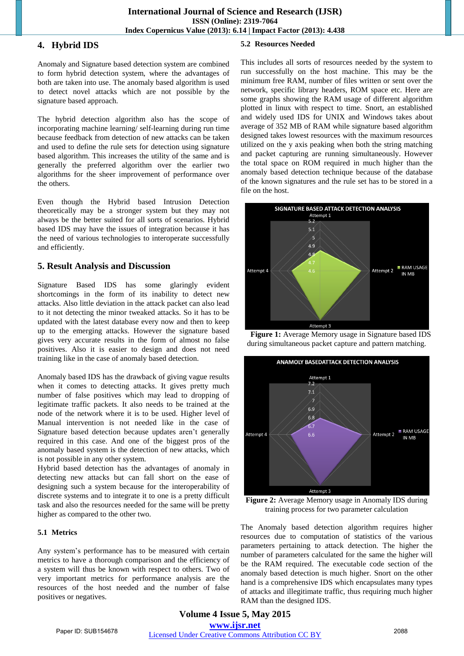# **4. Hybrid IDS**

Anomaly and Signature based detection system are combined to form hybrid detection system, where the advantages of both are taken into use. The anomaly based algorithm is used to detect novel attacks which are not possible by the signature based approach.

The hybrid detection algorithm also has the scope of incorporating machine learning/ self-learning during run time because feedback from detection of new attacks can be taken and used to define the rule sets for detection using signature based algorithm. This increases the utility of the same and is generally the preferred algorithm over the earlier two algorithms for the sheer improvement of performance over the others.

Even though the Hybrid based Intrusion Detection theoretically may be a stronger system but they may not always be the better suited for all sorts of scenarios. Hybrid based IDS may have the issues of integration because it has the need of various technologies to interoperate successfully and efficiently.

# **5. Result Analysis and Discussion**

Signature Based IDS has some glaringly evident shortcomings in the form of its inability to detect new attacks. Also little deviation in the attack packet can also lead to it not detecting the minor tweaked attacks. So it has to be updated with the latest database every now and then to keep up to the emerging attacks. However the signature based gives very accurate results in the form of almost no false positives. Also it is easier to design and does not need training like in the case of anomaly based detection.

Anomaly based IDS has the drawback of giving vague results when it comes to detecting attacks. It gives pretty much number of false positives which may lead to dropping of legitimate traffic packets. It also needs to be trained at the node of the network where it is to be used. Higher level of Manual intervention is not needed like in the case of Signature based detection because updates aren't generally required in this case. And one of the biggest pros of the anomaly based system is the detection of new attacks, which is not possible in any other system.

Hybrid based detection has the advantages of anomaly in detecting new attacks but can fall short on the ease of designing such a system because for the interoperability of discrete systems and to integrate it to one is a pretty difficult task and also the resources needed for the same will be pretty higher as compared to the other two.

# **5.1 Metrics**

Any system's performance has to be measured with certain metrics to have a thorough comparison and the efficiency of a system will thus be known with respect to others. Two of very important metrics for performance analysis are the resources of the host needed and the number of false positives or negatives.

# **5.2 Resources Needed**

This includes all sorts of resources needed by the system to run successfully on the host machine. This may be the minimum free RAM, number of files written or sent over the network, specific library headers, ROM space etc. Here are some graphs showing the RAM usage of different algorithm plotted in linux with respect to time. Snort, an established and widely used IDS for UNIX and Windows takes about average of 352 MB of RAM while signature based algorithm designed takes lowest resources with the maximum resources utilized on the y axis peaking when both the string matching and packet capturing are running simultaneously. However the total space on ROM required in much higher than the anomaly based detection technique because of the database of the known signatures and the rule set has to be stored in a file on the host.



**Figure 1:** Average Memory usage in Signature based IDS during simultaneous packet capture and pattern matching.



**Figure 2:** Average Memory usage in Anomaly IDS during training process for two parameter calculation

The Anomaly based detection algorithm requires higher resources due to computation of statistics of the various parameters pertaining to attack detection. The higher the number of parameters calculated for the same the higher will be the RAM required. The executable code section of the anomaly based detection is much higher. Snort on the other hand is a comprehensive IDS which encapsulates many types of attacks and illegitimate traffic, thus requiring much higher RAM than the designed IDS.